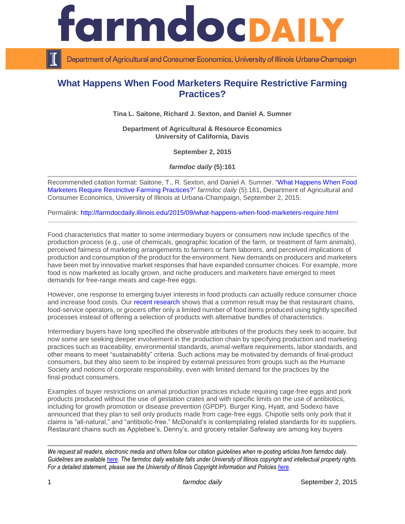

Department of Agricultural and Consumer Economics, University of Illinois Urbana-Champaign

# **What Happens When Food Marketers Require Restrictive Farming Practices?**

**Tina L. Saitone, Richard J. Sexton, and Daniel A. Sumner**

**Department of Agricultural & Resource Economics University of California, Davis**

**September 2, 2015**

*farmdoc daily* **(5):161**

Recommended citation format: Saitone, T., R. Sexton, and Daniel A. Sumner. ["What Happens When Food](http://farmdocdaily.illinois.edu/2015/09/what-happens-when-food-marketers-require.html)  [Marketers Require Restrictive Farming Practices?"](http://farmdocdaily.illinois.edu/2015/09/what-happens-when-food-marketers-require.html) *farmdoc daily* (5):161, Department of Agricultural and Consumer Economics, University of Illinois at Urbana-Champaign, September 2, 2015.

Permalink:<http://farmdocdaily.illinois.edu/2015/09/what-happens-when-food-marketers-require.html>

Food characteristics that matter to some intermediary buyers or consumers now include specifics of the production process (e.g., use of chemicals, geographic location of the farm, or treatment of farm animals), perceived fairness of marketing arrangements to farmers or farm laborers, and perceived implications of production and consumption of the product for the environment. New demands on producers and marketers have been met by innovative market responses that have expanded consumer choices. For example, more food is now marketed as locally grown, and niche producers and marketers have emerged to meet demands for free-range meats and cage-free eggs.

However, one response to emerging buyer interests in food products can actually reduce consumer choice and increase food costs. Our [recent research](http://ajae.oxfordjournals.org/content/97/4/1021.abstract) shows that a common result may be that restaurant chains, food-service operators, or grocers offer only a limited number of food items produced using tightly specified processes instead of offering a selection of products with alternative bundles of characteristics.

Intermediary buyers have long specified the observable attributes of the products they seek to acquire, but now some are seeking deeper involvement in the production chain by specifying production and marketing practices such as traceability, environmental standards, animal-welfare requirements, labor standards, and other means to meet "sustainability" criteria. Such actions may be motivated by demands of final-product consumers, but they also seem to be inspired by external pressures from groups such as the Humane Society and notions of corporate responsibility, even with limited demand for the practices by the final-product consumers.

Examples of buyer restrictions on animal production practices include requiring cage-free eggs and pork products produced without the use of gestation crates and with specific limits on the use of antibiotics, including for growth promotion or disease prevention (GPDP). Burger King, Hyatt, and Sodexo have announced that they plan to sell only products made from cage-free eggs. Chipotle sells only pork that it claims is "all-natural," and "antibiotic-free." McDonald's is contemplating related standards for its suppliers. Restaurant chains such as Applebee's, Denny's, and grocery retailer Safeway are among key buyers

*We request all readers, electronic media and others follow our citation guidelines when re-posting articles from farmdoc daily. Guidelines are available [here.](http://farmdocdaily.illinois.edu/citationguide.html) The farmdoc daily website falls under University of Illinois copyright and intellectual property rights. For a detailed statement, please see the University of Illinois Copyright Information and Policies [here.](http://www.cio.illinois.edu/policies/copyright/)*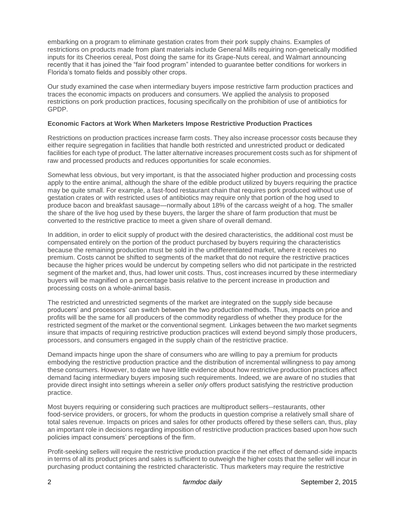embarking on a program to eliminate gestation crates from their pork supply chains. Examples of restrictions on products made from plant materials include General Mills requiring non-genetically modified inputs for its Cheerios cereal, Post doing the same for its Grape-Nuts cereal, and Walmart announcing recently that it has joined the "fair food program" intended to guarantee better conditions for workers in Florida's tomato fields and possibly other crops.

Our study examined the case when intermediary buyers impose restrictive farm production practices and traces the economic impacts on producers and consumers. We applied the analysis to proposed restrictions on pork production practices, focusing specifically on the prohibition of use of antibiotics for GPDP.

### **Economic Factors at Work When Marketers Impose Restrictive Production Practices**

Restrictions on production practices increase farm costs. They also increase processor costs because they either require segregation in facilities that handle both restricted and unrestricted product or dedicated facilities for each type of product. The latter alternative increases procurement costs such as for shipment of raw and processed products and reduces opportunities for scale economies.

Somewhat less obvious, but very important, is that the associated higher production and processing costs apply to the entire animal, although the share of the edible product utilized by buyers requiring the practice may be quite small. For example, a fast-food restaurant chain that requires pork produced without use of gestation crates or with restricted uses of antibiotics may require only that portion of the hog used to produce bacon and breakfast sausage—normally about 18% of the carcass weight of a hog. The smaller the share of the live hog used by these buyers, the larger the share of farm production that must be converted to the restrictive practice to meet a given share of overall demand.

In addition, in order to elicit supply of product with the desired characteristics, the additional cost must be compensated entirely on the portion of the product purchased by buyers requiring the characteristics because the remaining production must be sold in the undifferentiated market, where it receives no premium. Costs cannot be shifted to segments of the market that do not require the restrictive practices because the higher prices would be undercut by competing sellers who did not participate in the restricted segment of the market and, thus, had lower unit costs. Thus, cost increases incurred by these intermediary buyers will be magnified on a percentage basis relative to the percent increase in production and processing costs on a whole-animal basis.

The restricted and unrestricted segments of the market are integrated on the supply side because producers' and processors' can switch between the two production methods. Thus, impacts on price and profits will be the same for all producers of the commodity regardless of whether they produce for the restricted segment of the market or the conventional segment. Linkages between the two market segments insure that impacts of requiring restrictive production practices will extend beyond simply those producers, processors, and consumers engaged in the supply chain of the restrictive practice.

Demand impacts hinge upon the share of consumers who are willing to pay a premium for products embodying the restrictive production practice and the distribution of incremental willingness to pay among these consumers. However, to date we have little evidence about how restrictive production practices affect demand facing intermediary buyers imposing such requirements. Indeed, we are aware of no studies that provide direct insight into settings wherein a seller *only* offers product satisfying the restrictive production practice.

Most buyers requiring or considering such practices are multiproduct sellers--restaurants, other food-service providers, or grocers, for whom the products in question comprise a relatively small share of total sales revenue. Impacts on prices and sales for other products offered by these sellers can, thus, play an important role in decisions regarding imposition of restrictive production practices based upon how such policies impact consumers' perceptions of the firm.

Profit-seeking sellers will require the restrictive production practice if the net effect of demand-side impacts in terms of all its product prices and sales is sufficient to outweigh the higher costs that the seller will incur in purchasing product containing the restricted characteristic*.* Thus marketers may require the restrictive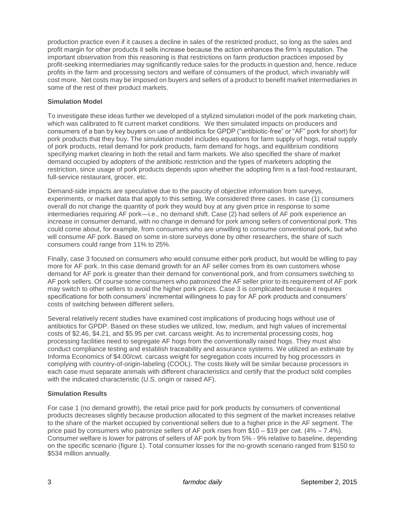production practice even if it causes a decline in sales of the restricted product, so long as the sales and profit margin for other products it sells increase because the action enhances the firm's reputation. The important observation from this reasoning is that restrictions on farm production practices imposed by profit-seeking intermediaries may significantly reduce sales for the products in question and, hence, reduce profits in the farm and processing sectors and welfare of consumers of the product, which invariably will cost more. Net costs may be imposed on buyers and sellers of a product to benefit market intermediaries in some of the rest of their product markets.

### **Simulation Model**

To investigate these ideas further we developed of a stylized simulation model of the pork marketing chain, which was calibrated to fit current market conditions. We then simulated impacts on producers and consumers of a ban by key buyers on use of antibiotics for GPDP ("antibiotic-free" or "AF" pork for short) for pork products that they buy. The simulation model includes equations for farm supply of hogs, retail supply of pork products, retail demand for pork products, farm demand for hogs, and equilibrium conditions specifying market clearing in both the retail and farm markets. We also specified the share of market demand occupied by adopters of the antibiotic restriction and the types of marketers adopting the restriction, since usage of pork products depends upon whether the adopting firm is a fast-food restaurant, full-service restaurant, grocer, etc.

Demand-side impacts are speculative due to the paucity of objective information from surveys, experiments, or market data that apply to this setting. We considered three cases. In case (1) consumers overall do not change the quantity of pork they would buy at any given price in response to some intermediaries requiring AF pork—i.e., no demand shift. Case (2) had sellers of AF pork experience an increase in consumer demand, with no change in demand for pork among sellers of conventional pork. This could come about, for example, from consumers who are unwilling to consume conventional pork, but who will consume AF pork. Based on some in-store surveys done by other researchers, the share of such consumers could range from 11% to 25%.

Finally, case 3 focused on consumers who would consume either pork product, but would be willing to pay more for AF pork. In this case demand growth for an AF seller comes from its own customers whose demand for AF pork is greater than their demand for conventional pork, and from consumers switching to AF pork sellers. Of course some consumers who patronized the AF seller prior to its requirement of AF pork may switch to other sellers to avoid the higher pork prices. Case 3 is complicated because it requires specifications for both consumers' incremental willingness to pay for AF pork products and consumers' costs of switching between different sellers.

Several relatively recent studies have examined cost implications of producing hogs without use of antibiotics for GPDP. Based on these studies we utilized, low, medium, and high values of incremental costs of \$2.46, \$4.21, and \$5.95 per cwt. carcass weight. As to incremental processing costs, hog processing facilities need to segregate AF hogs from the conventionally raised hogs. They must also conduct compliance testing and establish traceability and assurance systems. We utilized an estimate by Informa Economics of \$4.00/cwt. carcass weight for segregation costs incurred by hog processors in complying with country-of-origin-labeling (COOL). The costs likely will be similar because processors in each case must separate animals with different characteristics and certify that the product sold complies with the indicated characteristic (U.S. origin or raised AF).

## **Simulation Results**

For case 1 (no demand growth), the retail price paid for pork products by consumers of conventional products decreases slightly because production allocated to this segment of the market increases relative to the share of the market occupied by conventional sellers due to a higher price in the AF segment. The price paid by consumers who patronize sellers of AF pork rises from \$10 – \$19 per cwt. (4% – 7.4%). Consumer welfare is lower for patrons of sellers of AF pork by from 5% - 9% relative to baseline, depending on the specific scenario (figure 1). Total consumer losses for the no-growth scenario ranged from \$150 to \$534 million annually.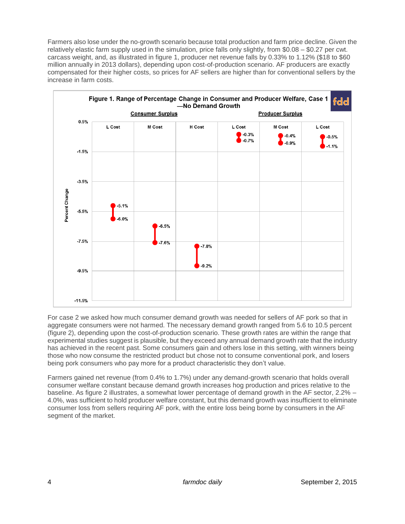Farmers also lose under the no-growth scenario because total production and farm price decline. Given the relatively elastic farm supply used in the simulation, price falls only slightly, from \$0.08 – \$0.27 per cwt. carcass weight, and, as illustrated in figure 1, producer net revenue falls by 0.33% to 1.12% (\$18 to \$60 million annually in 2013 dollars), depending upon cost-of-production scenario. AF producers are exactly compensated for their higher costs, so prices for AF sellers are higher than for conventional sellers by the increase in farm costs.



For case 2 we asked how much consumer demand growth was needed for sellers of AF pork so that in aggregate consumers were not harmed. The necessary demand growth ranged from 5.6 to 10.5 percent (figure 2), depending upon the cost-of-production scenario. These growth rates are within the range that experimental studies suggest is plausible, but they exceed any annual demand growth rate that the industry has achieved in the recent past. Some consumers gain and others lose in this setting, with winners being those who now consume the restricted product but chose not to consume conventional pork, and losers being pork consumers who pay more for a product characteristic they don't value.

Farmers gained net revenue (from 0.4% to 1.7%) under any demand-growth scenario that holds overall consumer welfare constant because demand growth increases hog production and prices relative to the baseline. As figure 2 illustrates, a somewhat lower percentage of demand growth in the AF sector, 2.2% – 4.0%, was sufficient to hold producer welfare constant, but this demand growth was insufficient to eliminate consumer loss from sellers requiring AF pork, with the entire loss being borne by consumers in the AF segment of the market.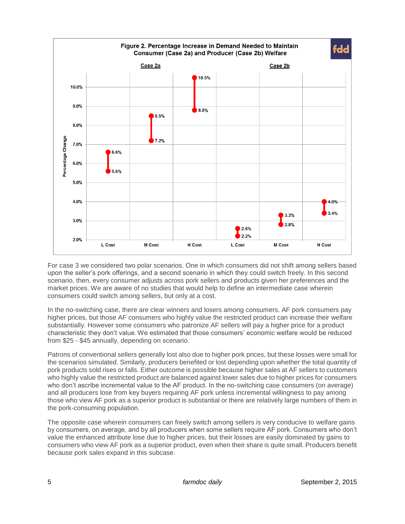

For case 3 we considered two polar scenarios. One in which consumers did not shift among sellers based upon the seller's pork offerings, and a second scenario in which they could switch freely. In this second scenario, then, every consumer adjusts across pork sellers and products given her preferences and the market prices. We are aware of no studies that would help to define an intermediate case wherein consumers could switch among sellers, but only at a cost.

In the no-switching case, there are clear winners and losers among consumers. AF pork consumers pay higher prices, but those AF consumers who highly value the restricted product can increase their welfare substantially. However some consumers who patronize AF sellers will pay a higher price for a product characteristic they don't value. We estimated that those consumers' economic welfare would be reduced from \$25 - \$45 annually, depending on scenario.

Patrons of conventional sellers generally lost also due to higher pork prices, but these losses were small for the scenarios simulated. Similarly, producers benefited or lost depending upon whether the total quantity of pork products sold rises or falls. Either outcome is possible because higher sales at AF sellers to customers who highly value the restricted product are balanced against lower sales due to higher prices for consumers who don't ascribe incremental value to the AF product. In the no-switching case consumers (on average) and all producers lose from key buyers requiring AF pork unless incremental willingness to pay among those who view AF pork as a superior product is substantial or there are relatively large numbers of them in the pork-consuming population.

The opposite case wherein consumers can freely switch among sellers is very conducive to welfare gains by consumers, on average, and by all producers when some sellers require AF pork. Consumers who don't value the enhanced attribute lose due to higher prices, but their losses are easily dominated by gains to consumers who view AF pork as a superior product, even when their share is quite small. Producers benefit because pork sales expand in this subcase.